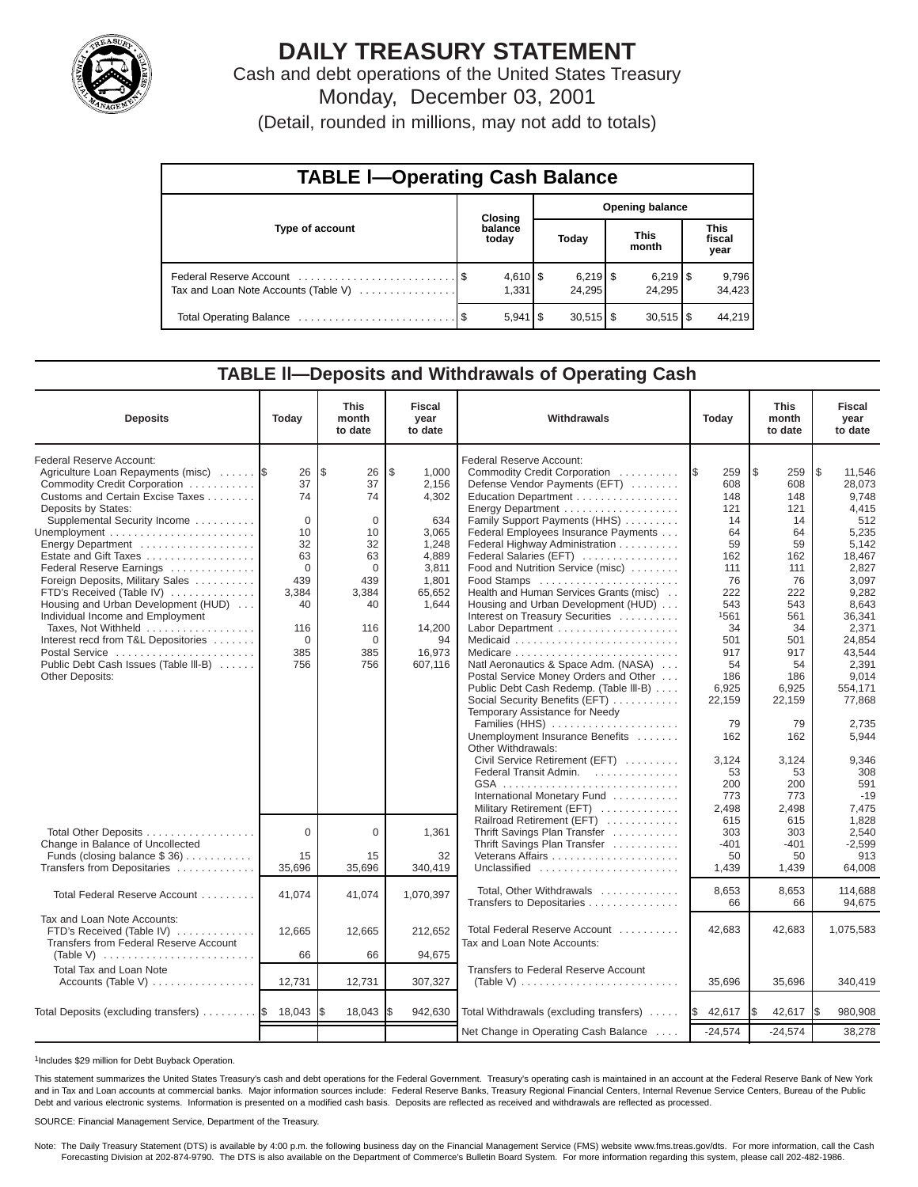

# **DAILY TREASURY STATEMENT**

Cash and debt operations of the United States Treasury Monday, December 03, 2001

(Detail, rounded in millions, may not add to totals)

| <b>TABLE I-Operating Cash Balance</b> |  |                     |                        |                                 |  |                        |  |                               |  |
|---------------------------------------|--|---------------------|------------------------|---------------------------------|--|------------------------|--|-------------------------------|--|
|                                       |  | <b>Closing</b>      | <b>Opening balance</b> |                                 |  |                        |  |                               |  |
| Type of account                       |  | balance<br>today    |                        | Today                           |  | <b>This</b><br>month   |  | <b>This</b><br>fiscal<br>year |  |
| Tax and Loan Note Accounts (Table V)  |  | $4,610$ \$<br>1.331 |                        | $6,219$ $\frac{8}{3}$<br>24,295 |  | 24.295                 |  | 9,796<br>34,423               |  |
|                                       |  | $5,941$ \ \$        |                        | $30,515$ \$                     |  | $30.515$ $\frac{1}{3}$ |  | 44.219                        |  |

### **TABLE ll—Deposits and Withdrawals of Operating Cash**

| <b>Deposits</b>                                                                                                                                                                                                                                                                                                                                                                                                                                                                                                                                             | Today                                                                                                           | <b>This</b><br>month<br>to date                                                                                           | <b>Fiscal</b><br>year<br>to date                                                                                                           | Withdrawals                                                                                                                                                                                                                                                                                                                                                                                                                                                                                                                                                                                                                                                                                                                                                                                                                                                                | Today                                                                                                                                                                                                     | <b>This</b><br>month<br>to date                                                                                                                                                                    | <b>Fiscal</b><br>year<br>to date                                                                                                                                                                                                                           |
|-------------------------------------------------------------------------------------------------------------------------------------------------------------------------------------------------------------------------------------------------------------------------------------------------------------------------------------------------------------------------------------------------------------------------------------------------------------------------------------------------------------------------------------------------------------|-----------------------------------------------------------------------------------------------------------------|---------------------------------------------------------------------------------------------------------------------------|--------------------------------------------------------------------------------------------------------------------------------------------|----------------------------------------------------------------------------------------------------------------------------------------------------------------------------------------------------------------------------------------------------------------------------------------------------------------------------------------------------------------------------------------------------------------------------------------------------------------------------------------------------------------------------------------------------------------------------------------------------------------------------------------------------------------------------------------------------------------------------------------------------------------------------------------------------------------------------------------------------------------------------|-----------------------------------------------------------------------------------------------------------------------------------------------------------------------------------------------------------|----------------------------------------------------------------------------------------------------------------------------------------------------------------------------------------------------|------------------------------------------------------------------------------------------------------------------------------------------------------------------------------------------------------------------------------------------------------------|
| Federal Reserve Account:<br>Agriculture Loan Repayments (misc)<br>Commodity Credit Corporation<br>Customs and Certain Excise Taxes<br>Deposits by States:<br>Supplemental Security Income<br>Energy Department<br>Estate and Gift Taxes<br>Federal Reserve Earnings<br>Foreign Deposits, Military Sales<br>FTD's Received (Table IV)<br>Housing and Urban Development (HUD)<br>Individual Income and Employment<br>Taxes, Not Withheld<br>Interest recd from T&L Depositories<br>Postal Service<br>Public Debt Cash Issues (Table III-B)<br>Other Deposits: | 26<br>37<br>74<br>$\Omega$<br>10<br>32<br>63<br>$\Omega$<br>439<br>3,384<br>40<br>116<br>$\Omega$<br>385<br>756 | l\$<br>26<br>37<br>74<br>$\mathbf 0$<br>10<br>32<br>63<br>$\Omega$<br>439<br>3,384<br>40<br>116<br>$\Omega$<br>385<br>756 | \$.<br>1.000<br>2,156<br>4,302<br>634<br>3,065<br>1,248<br>4.889<br>3,811<br>1,801<br>65,652<br>1,644<br>14.200<br>94<br>16,973<br>607,116 | Federal Reserve Account:<br>Commodity Credit Corporation<br>Defense Vendor Payments (EFT)<br>Education Department<br>Energy Department<br>Family Support Payments (HHS)<br>Federal Employees Insurance Payments<br>Federal Highway Administration<br>Federal Salaries (EFT)<br>Food and Nutrition Service (misc)<br>Food Stamps<br>Health and Human Services Grants (misc)<br>Housing and Urban Development (HUD)<br>Interest on Treasury Securities<br>Labor Department<br>Natl Aeronautics & Space Adm. (NASA)<br>Postal Service Money Orders and Other<br>Public Debt Cash Redemp. (Table III-B)<br>Social Security Benefits (EFT)<br>Temporary Assistance for Needy<br>Families (HHS)<br>Unemployment Insurance Benefits<br>Other Withdrawals:<br>Civil Service Retirement (EFT)<br>Federal Transit Admin.<br>International Monetary Fund<br>Military Retirement (EFT) | 259<br><b>1\$</b><br>608<br>148<br>121<br>14<br>64<br>59<br>162<br>111<br>76<br>222<br>543<br>1561<br>34<br>501<br>917<br>54<br>186<br>6,925<br>22,159<br>79<br>162<br>3,124<br>53<br>200<br>773<br>2,498 | l \$<br>259<br>608<br>148<br>121<br>14<br>64<br>59<br>162<br>111<br>76<br>222<br>543<br>561<br>34<br>501<br>917<br>54<br>186<br>6,925<br>22,159<br>79<br>162<br>3,124<br>53<br>200<br>773<br>2,498 | l \$<br>11.546<br>28,073<br>9,748<br>4,415<br>512<br>5,235<br>5,142<br>18.467<br>2,827<br>3,097<br>9,282<br>8,643<br>36,341<br>2.371<br>24,854<br>43,544<br>2,391<br>9.014<br>554,171<br>77,868<br>2,735<br>5,944<br>9,346<br>308<br>591<br>$-19$<br>7,475 |
| Total Other Deposits<br>Change in Balance of Uncollected<br>Funds (closing balance $$36)$<br>Transfers from Depositaries                                                                                                                                                                                                                                                                                                                                                                                                                                    | $\Omega$<br>15<br>35,696                                                                                        | $\Omega$<br>15<br>35,696                                                                                                  | 1,361<br>32<br>340.419                                                                                                                     | Railroad Retirement (EFT)<br>Thrift Savings Plan Transfer<br>Thrift Savings Plan Transfer<br>Unclassified                                                                                                                                                                                                                                                                                                                                                                                                                                                                                                                                                                                                                                                                                                                                                                  | 615<br>303<br>$-401$<br>50<br>1.439                                                                                                                                                                       | 615<br>303<br>$-401$<br>50<br>1.439                                                                                                                                                                | 1,828<br>2,540<br>$-2,599$<br>913<br>64.008                                                                                                                                                                                                                |
| Total Federal Reserve Account                                                                                                                                                                                                                                                                                                                                                                                                                                                                                                                               | 41,074                                                                                                          | 41,074                                                                                                                    | 1,070,397                                                                                                                                  | Total, Other Withdrawals<br>Transfers to Depositaries                                                                                                                                                                                                                                                                                                                                                                                                                                                                                                                                                                                                                                                                                                                                                                                                                      | 8,653<br>66                                                                                                                                                                                               | 8,653<br>66                                                                                                                                                                                        | 114,688<br>94.675                                                                                                                                                                                                                                          |
| Tax and Loan Note Accounts:<br>FTD's Received (Table IV)<br>Transfers from Federal Reserve Account<br>Total Tax and Loan Note<br>Accounts (Table V)                                                                                                                                                                                                                                                                                                                                                                                                         | 12,665<br>66<br>12,731                                                                                          | 12,665<br>66<br>12,731                                                                                                    | 212,652<br>94,675<br>307,327                                                                                                               | Total Federal Reserve Account<br>Tax and Loan Note Accounts:<br>Transfers to Federal Reserve Account<br>(Table V) $\ldots \ldots \ldots \ldots \ldots \ldots \ldots \ldots$                                                                                                                                                                                                                                                                                                                                                                                                                                                                                                                                                                                                                                                                                                | 42,683<br>35,696                                                                                                                                                                                          | 42,683<br>35,696                                                                                                                                                                                   | 1,075,583<br>340,419                                                                                                                                                                                                                                       |
| Total Deposits (excluding transfers)  \$ 18,043                                                                                                                                                                                                                                                                                                                                                                                                                                                                                                             |                                                                                                                 | 18,043                                                                                                                    | 942,630                                                                                                                                    | Total Withdrawals (excluding transfers)                                                                                                                                                                                                                                                                                                                                                                                                                                                                                                                                                                                                                                                                                                                                                                                                                                    | 42,617<br>I\$                                                                                                                                                                                             | 42,617                                                                                                                                                                                             | 980,908                                                                                                                                                                                                                                                    |
|                                                                                                                                                                                                                                                                                                                                                                                                                                                                                                                                                             |                                                                                                                 |                                                                                                                           |                                                                                                                                            | Net Change in Operating Cash Balance                                                                                                                                                                                                                                                                                                                                                                                                                                                                                                                                                                                                                                                                                                                                                                                                                                       | $-24,574$                                                                                                                                                                                                 | $-24,574$                                                                                                                                                                                          | 38,278                                                                                                                                                                                                                                                     |

1Includes \$29 million for Debt Buyback Operation.

This statement summarizes the United States Treasury's cash and debt operations for the Federal Government. Treasury's operating cash is maintained in an account at the Federal Reserve Bank of New York and in Tax and Loan accounts at commercial banks. Major information sources include: Federal Reserve Banks, Treasury Regional Financial Centers, Internal Revenue Service Centers, Bureau of the Public Debt and various electronic systems. Information is presented on a modified cash basis. Deposits are reflected as received and withdrawals are reflected as processed.

SOURCE: Financial Management Service, Department of the Treasury.

Note: The Daily Treasury Statement (DTS) is available by 4:00 p.m. the following business day on the Financial Management Service (FMS) website www.fms.treas.gov/dts. For more information, call the Cash<br>Forecasting Divisio